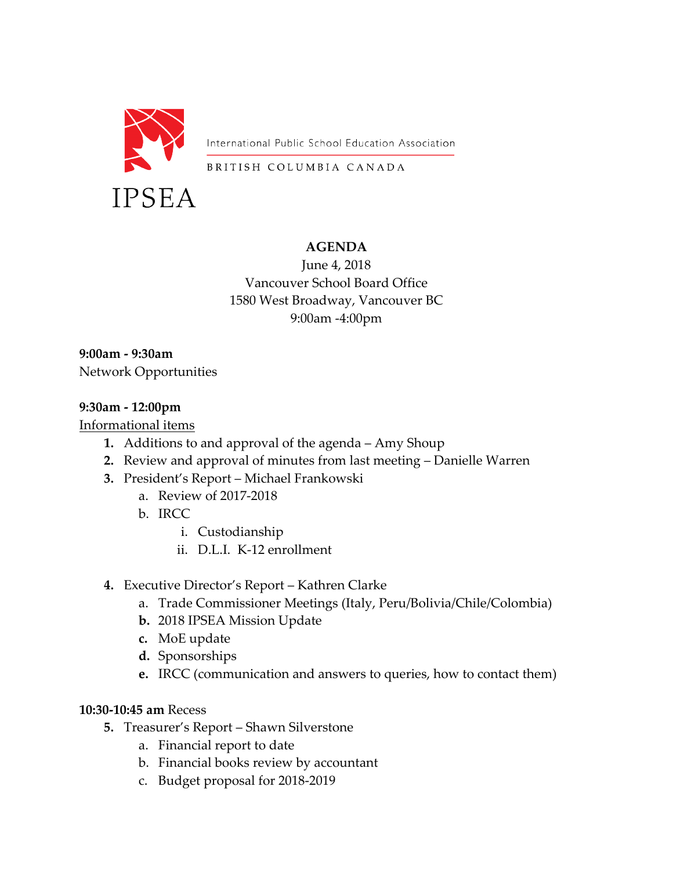

International Public School Education Association

BRITISH COLUMBIA CANADA

### **AGENDA**

June 4, 2018 Vancouver School Board Office 1580 West Broadway, Vancouver BC 9:00am -4:00pm

**9:00am - 9:30am** Network Opportunities

### **9:30am - 12:00pm**

Informational items

- **1.** Additions to and approval of the agenda Amy Shoup
- **2.** Review and approval of minutes from last meeting Danielle Warren
- **3.** President's Report Michael Frankowski
	- a. Review of 2017-2018
	- b. IRCC
		- i. Custodianship
		- ii. D.L.I. K-12 enrollment
- **4.** Executive Director's Report Kathren Clarke
	- a. Trade Commissioner Meetings (Italy, Peru/Bolivia/Chile/Colombia)
	- **b.** 2018 IPSEA Mission Update
	- **c.** MoE update
	- **d.** Sponsorships
	- **e.** IRCC (communication and answers to queries, how to contact them)

#### **10:30-10:45 am** Recess

- **5.** Treasurer's Report Shawn Silverstone
	- a. Financial report to date
	- b. Financial books review by accountant
	- c. Budget proposal for 2018-2019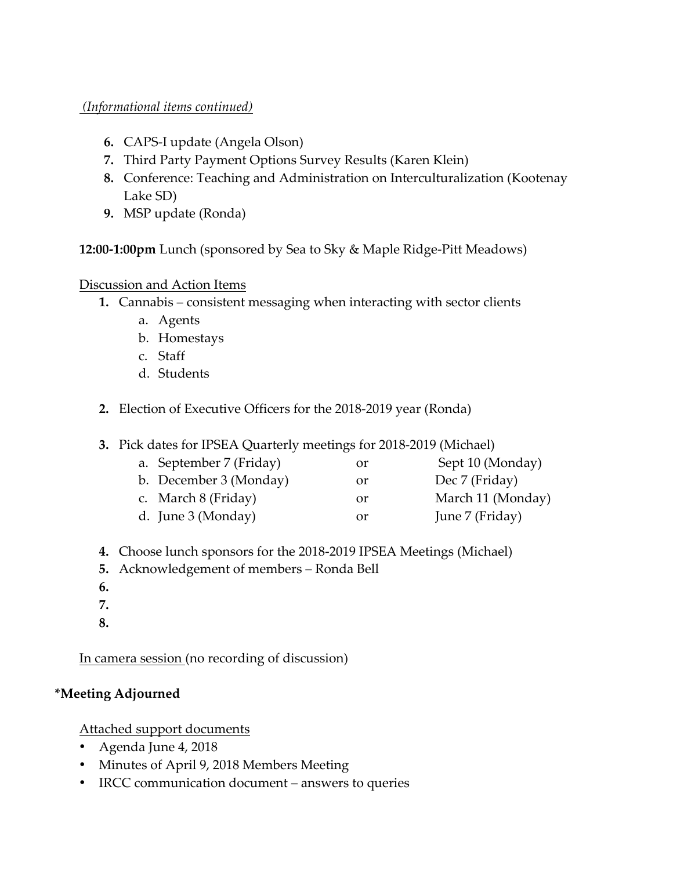### *(Informational items continued)*

- **6.** CAPS-I update (Angela Olson)
- **7.** Third Party Payment Options Survey Results (Karen Klein)
- **8.** Conference: Teaching and Administration on Interculturalization (Kootenay Lake SD)
- **9.** MSP update (Ronda)

**12:00-1:00pm** Lunch (sponsored by Sea to Sky & Maple Ridge-Pitt Meadows)

### Discussion and Action Items

- **1.** Cannabis consistent messaging when interacting with sector clients
	- a. Agents
	- b. Homestays
	- c. Staff
	- d. Students
- **2.** Election of Executive Officers for the 2018-2019 year (Ronda)
- **3.** Pick dates for IPSEA Quarterly meetings for 2018-2019 (Michael)
	- a. September 7 (Friday) or Sept 10 (Monday) b. December 3 (Monday) or Dec 7 (Friday) c. March 8 (Friday) or March 11 (Monday)
	- d. June 3 (Monday) or June 7 (Friday)
- **4.** Choose lunch sponsors for the 2018-2019 IPSEA Meetings (Michael)
- **5.** Acknowledgement of members Ronda Bell
- **6.**
- **7.**
- **8.**

In camera session (no recording of discussion)

# **\*Meeting Adjourned**

Attached support documents

- Agenda June 4, 2018
- Minutes of April 9, 2018 Members Meeting
- IRCC communication document answers to queries